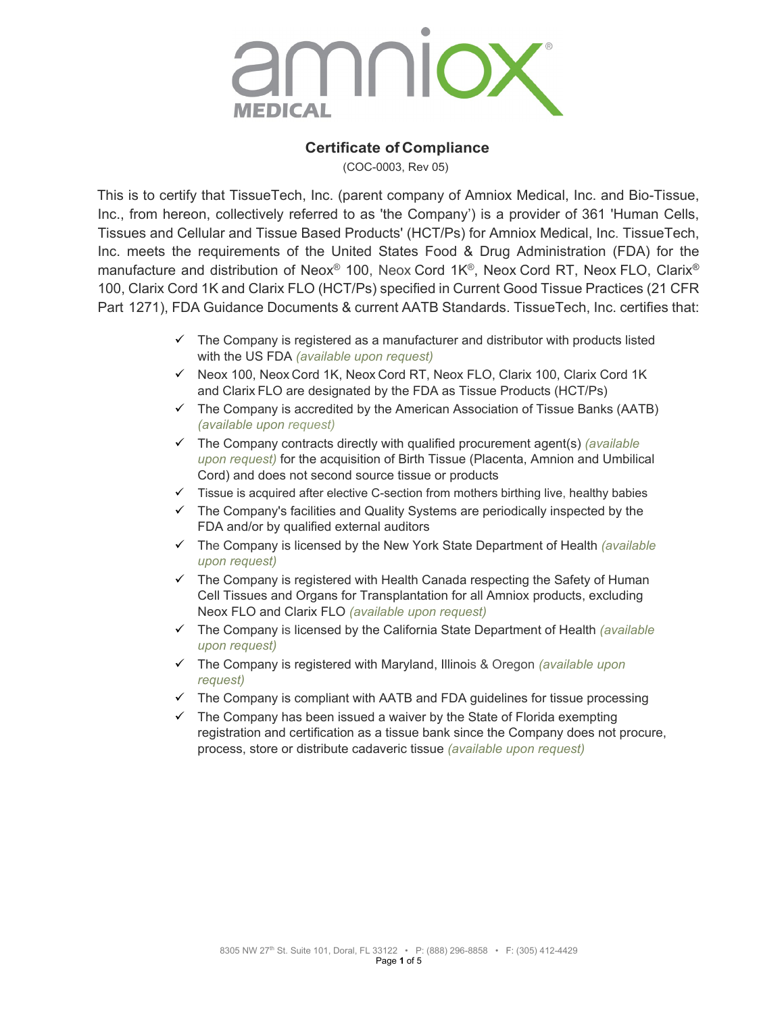

### **Certificate of Compliance**

(COC-0003, Rev 05)

This is to certify that TissueTech, Inc. (parent company of Amniox Medical, Inc. and Bio-Tissue, Inc., from hereon, collectively referred to as 'the Company') is a provider of 361 'Human Cells, Tissues and Cellular and Tissue Based Products' (HCT/Ps) for Amniox Medical, Inc. TissueTech, Inc. meets the requirements of the United States Food & Drug Administration (FDA) for the manufacture and distribution of Neox® 100, Neox Cord 1K®, Neox Cord RT, Neox FLO, Clarix® 100, Clarix Cord 1K and Clarix FLO (HCT/Ps) specified in Current Good Tissue Practices (21 CFR Part 1271), FDA Guidance Documents & current AATB Standards. TissueTech, Inc. certifies that:

- $\checkmark$  The Company is registered as a manufacturer and distributor with products listed with the US FDA *(available upon request)*
- $\checkmark$  Neox 100, Neox Cord 1K, Neox Cord RT, Neox FLO, Clarix 100, Clarix Cord 1K and Clarix FLO are designated by the FDA as Tissue Products (HCT/Ps)
- $\checkmark$  The Company is accredited by the American Association of Tissue Banks (AATB) *(available upon request)*
- The Company contracts directly with qualified procurement agent(s) *(available upon request)* for the acquisition of Birth Tissue (Placenta, Amnion and Umbilical Cord) and does not second source tissue or products
- $\checkmark$  Tissue is acquired after elective C-section from mothers birthing live, healthy babies
- $\checkmark$  The Company's facilities and Quality Systems are periodically inspected by the FDA and/or by qualified external auditors
- The Company is licensed by the New York State Department of Health *(available upon request)*
- $\checkmark$  The Company is registered with Health Canada respecting the Safety of Human Cell Tissues and Organs for Transplantation for all Amniox products, excluding Neox FLO and Clarix FLO *(available upon request)*
- The Company is licensed by the California State Department of Health *(available upon request)*
- The Company is registered with Maryland, Illinois & Oregon *(available upon request)*
- $\checkmark$  The Company is compliant with AATB and FDA guidelines for tissue processing
- $\checkmark$  The Company has been issued a waiver by the State of Florida exempting registration and certification as a tissue bank since the Company does not procure, process, store or distribute cadaveric tissue *(available upon request)*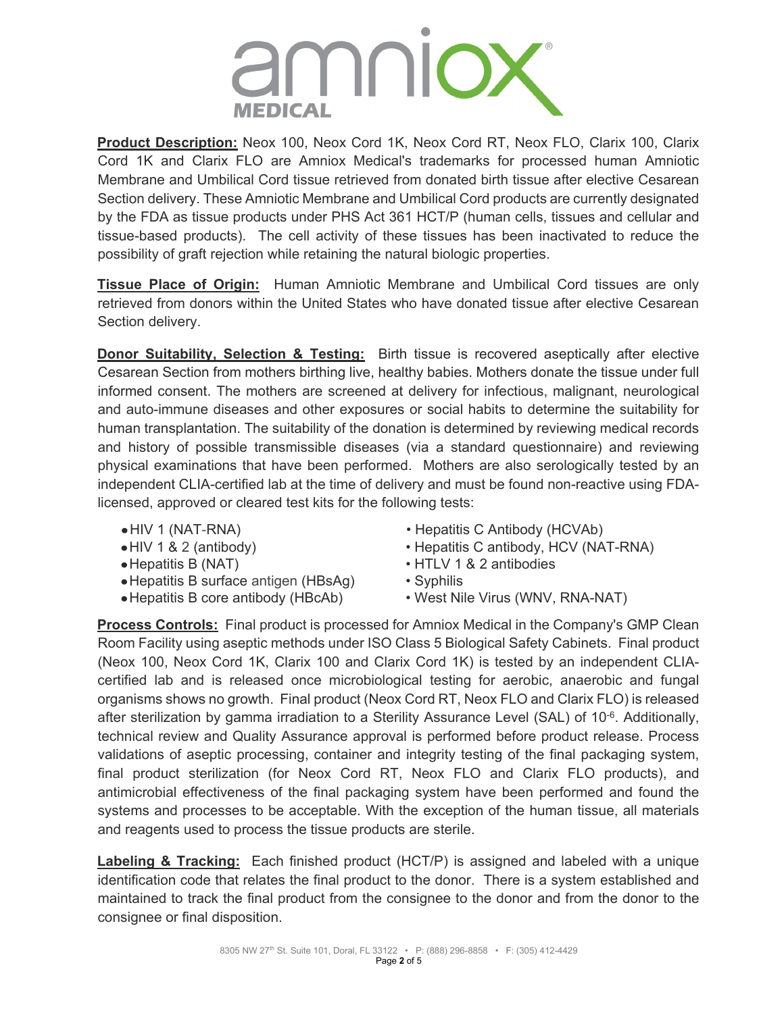

**Product Description:** Neox 100, Neox Cord 1K, Neox Cord RT, Neox FLO, Clarix 100, Clarix Cord 1K and Clarix FLO are Amniox Medical's trademarks for processed human Amniotic Membrane and Umbilical Cord tissue retrieved from donated birth tissue after elective Cesarean Section delivery. These Amniotic Membrane and Umbilical Cord products are currently designated by the FDA as tissue products under PHS Act 361 HCT/P (human cells, tissues and cellular and tissue-based products). The cell activity of these tissues has been inactivated to reduce the possibility of graft rejection while retaining the natural biologic properties.

**Tissue Place of Origin:** Human Amniotic Membrane and Umbilical Cord tissues are only retrieved from donors within the United States who have donated tissue after elective Cesarean Section delivery.

**Donor Suitability, Selection & Testing:** Birth tissue is recovered aseptically after elective Cesarean Section from mothers birthing live, healthy babies. Mothers donate the tissue under full informed consent. The mothers are screened at delivery for infectious, malignant, neurological and auto-immune diseases and other exposures or social habits to determine the suitability for human transplantation. The suitability of the donation is determined by reviewing medical records and history of possible transmissible diseases (via a standard questionnaire) and reviewing physical examinations that have been performed. Mothers are also serologically tested by an independent CLIA-certified lab at the time of delivery and must be found non-reactive using FDAlicensed, approved or cleared test kits for the following tests:

- 
- 
- 
- Hepatitis B surface antigen (HBsAg) Syphilis<br>• Hepatitis B core antibody (HBcAb) West Nile Virus (WNV, RNA-NAT)
- $\bullet$  Hepatitis B core antibody (HBcAb)
- 
- •HIV 1 (NAT-RNA) Hepatitis C Antibody (HCVAb) •HIV 1 & 2 (antibody) • Hepatitis C antibody, HCV (NAT-RNA) • HTLV 1 & 2 antibodies
	- HTLV 1 & 2 antibodies<br>• Syphilis
	-
	-

**Process Controls:** Final product is processed for Amniox Medical in the Company's GMP Clean Room Facility using aseptic methods under ISO Class 5 Biological Safety Cabinets. Final product (Neox 100, Neox Cord 1K, Clarix 100 and Clarix Cord 1K) is tested by an independent CLIAcertified lab and is released once microbiological testing for aerobic, anaerobic and fungal organisms shows no growth. Final product (Neox Cord RT, Neox FLO and Clarix FLO) is released after sterilization by gamma irradiation to a Sterility Assurance Level (SAL) of 10<sup>-6</sup>. Additionally, technical review and Quality Assurance approval is performed before product release. Process validations of aseptic processing, container and integrity testing of the final packaging system, final product sterilization (for Neox Cord RT, Neox FLO and Clarix FLO products), and antimicrobial effectiveness of the final packaging system have been performed and found the systems and processes to be acceptable. With the exception of the human tissue, all materials and reagents used to process the tissue products are sterile.

**Labeling & Tracking:** Each finished product (HCT/P) is assigned and labeled with a unique identification code that relates the final product to the donor. There is a system established and maintained to track the final product from the consignee to the donor and from the donor to the consignee or final disposition.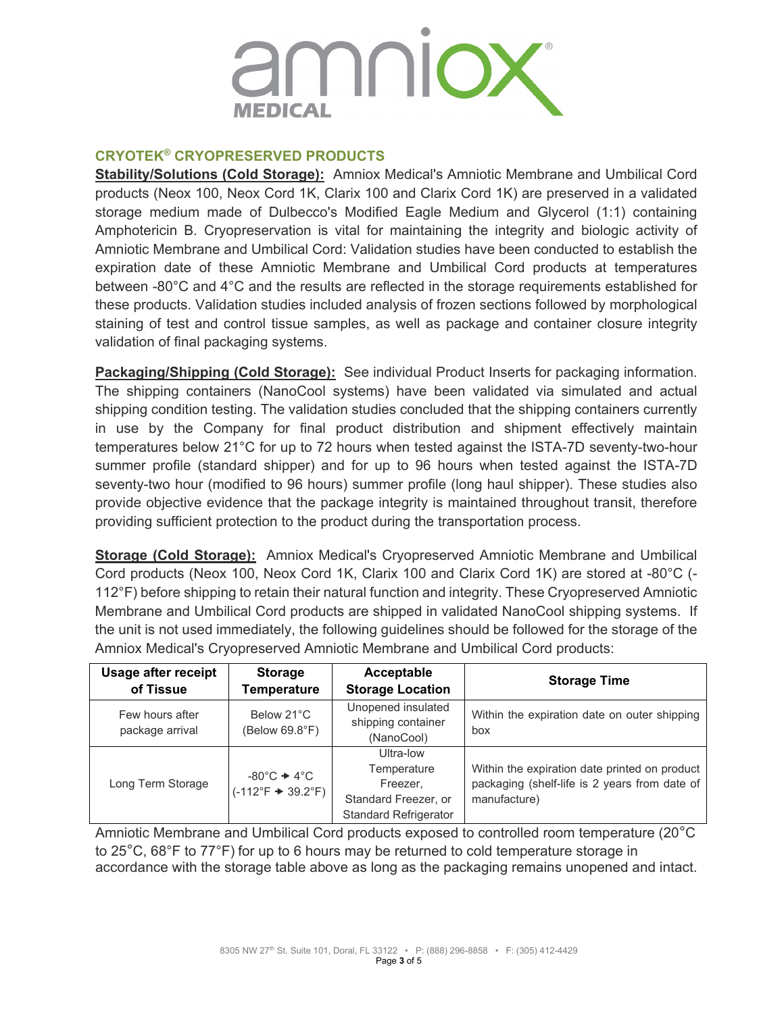

## **CRYOTEK® CRYOPRESERVED PRODUCTS**

**Stability/Solutions (Cold Storage):** Amniox Medical's Amniotic Membrane and Umbilical Cord products (Neox 100, Neox Cord 1K, Clarix 100 and Clarix Cord 1K) are preserved in a validated storage medium made of Dulbecco's Modified Eagle Medium and Glycerol (1:1) containing Amphotericin B. Cryopreservation is vital for maintaining the integrity and biologic activity of Amniotic Membrane and Umbilical Cord: Validation studies have been conducted to establish the expiration date of these Amniotic Membrane and Umbilical Cord products at temperatures between -80°C and 4°C and the results are reflected in the storage requirements established for these products. Validation studies included analysis of frozen sections followed by morphological staining of test and control tissue samples, as well as package and container closure integrity validation of final packaging systems.

**Packaging/Shipping (Cold Storage):** See individual Product Inserts for packaging information. The shipping containers (NanoCool systems) have been validated via simulated and actual shipping condition testing. The validation studies concluded that the shipping containers currently in use by the Company for final product distribution and shipment effectively maintain temperatures below 21°C for up to 72 hours when tested against the ISTA-7D seventy-two-hour summer profile (standard shipper) and for up to 96 hours when tested against the ISTA-7D seventy-two hour (modified to 96 hours) summer profile (long haul shipper). These studies also provide objective evidence that the package integrity is maintained throughout transit, therefore providing sufficient protection to the product during the transportation process.

**Storage (Cold Storage):** Amniox Medical's Cryopreserved Amniotic Membrane and Umbilical Cord products (Neox 100, Neox Cord 1K, Clarix 100 and Clarix Cord 1K) are stored at -80°C (- 112°F) before shipping to retain their natural function and integrity. These Cryopreserved Amniotic Membrane and Umbilical Cord products are shipped in validated NanoCool shipping systems. If the unit is not used immediately, the following guidelines should be followed for the storage of the Amniox Medical's Cryopreserved Amniotic Membrane and Umbilical Cord products:

| <b>Usage after receipt</b><br>of Tissue | <b>Storage</b><br><b>Temperature</b>                                | Acceptable<br><b>Storage Location</b>                                                        | <b>Storage Time</b>                                                                                            |
|-----------------------------------------|---------------------------------------------------------------------|----------------------------------------------------------------------------------------------|----------------------------------------------------------------------------------------------------------------|
| Few hours after<br>package arrival      | Below 21°C<br>(Below 69.8°F)                                        | Unopened insulated<br>shipping container<br>(NanoCool)                                       | Within the expiration date on outer shipping<br>box                                                            |
| Long Term Storage                       | $-80^{\circ}$ C $+4^{\circ}$ C<br>$(-112^{\circ}F + 39.2^{\circ}F)$ | Ultra-low<br>Temperature<br>Freezer,<br>Standard Freezer, or<br><b>Standard Refrigerator</b> | Within the expiration date printed on product<br>packaging (shelf-life is 2 years from date of<br>manufacture) |

Amniotic Membrane and Umbilical Cord products exposed to controlled room temperature (20°C to 25°C, 68°F to 77°F) for up to 6 hours may be returned to cold temperature storage in accordance with the storage table above as long as the packaging remains unopened and intact.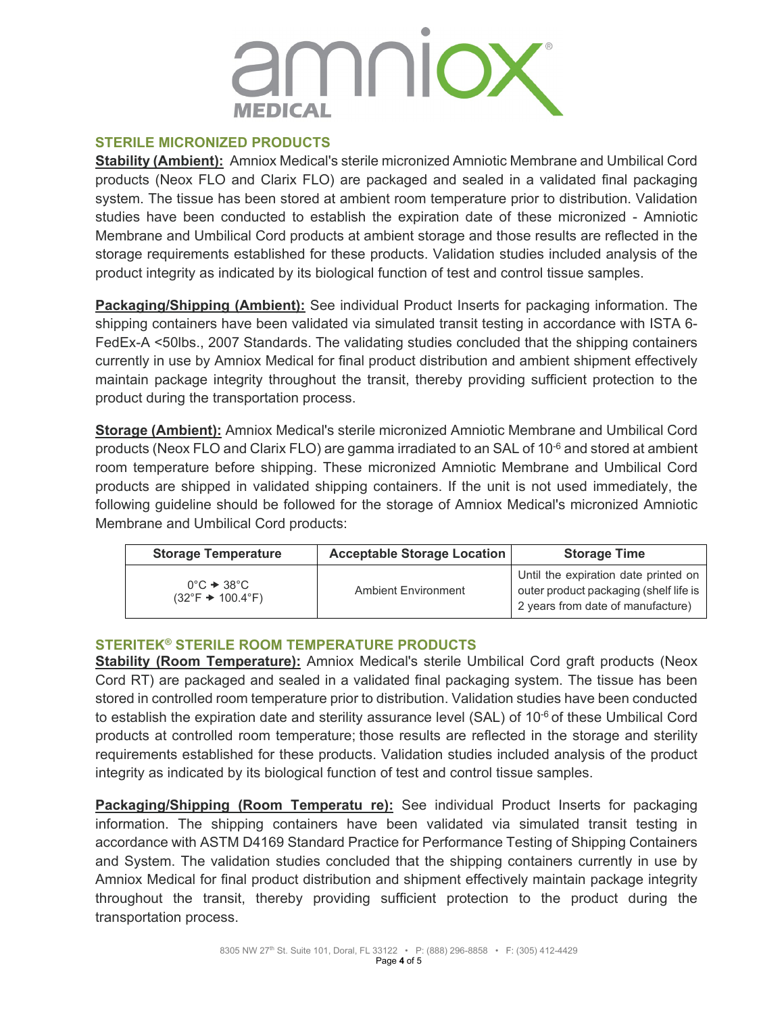

### **STERILE MICRONIZED PRODUCTS**

**Stability (Ambient):** Amniox Medical's sterile micronized Amniotic Membrane and Umbilical Cord products (Neox FLO and Clarix FLO) are packaged and sealed in a validated final packaging system. The tissue has been stored at ambient room temperature prior to distribution. Validation studies have been conducted to establish the expiration date of these micronized - Amniotic Membrane and Umbilical Cord products at ambient storage and those results are reflected in the storage requirements established for these products. Validation studies included analysis of the product integrity as indicated by its biological function of test and control tissue samples.

**Packaging/Shipping (Ambient):** See individual Product Inserts for packaging information. The shipping containers have been validated via simulated transit testing in accordance with ISTA 6- FedEx-A <50lbs., 2007 Standards. The validating studies concluded that the shipping containers currently in use by Amniox Medical for final product distribution and ambient shipment effectively maintain package integrity throughout the transit, thereby providing sufficient protection to the product during the transportation process.

**Storage (Ambient):** Amniox Medical's sterile micronized Amniotic Membrane and Umbilical Cord products (Neox FLO and Clarix FLO) are gamma irradiated to an SAL of 10-6 and stored at ambient room temperature before shipping. These micronized Amniotic Membrane and Umbilical Cord products are shipped in validated shipping containers. If the unit is not used immediately, the following guideline should be followed for the storage of Amniox Medical's micronized Amniotic Membrane and Umbilical Cord products:

| <b>Storage Temperature</b>                                                      | <b>Acceptable Storage Location</b> | <b>Storage Time</b>                                                                                                 |
|---------------------------------------------------------------------------------|------------------------------------|---------------------------------------------------------------------------------------------------------------------|
| $0^{\circ}$ C $\rightarrow$ 38 $^{\circ}$ C<br>$(32^{\circ}F + 100.4^{\circ}F)$ | Ambient Fnvironment                | Until the expiration date printed on<br>outer product packaging (shelf life is<br>2 years from date of manufacture) |

### **STERITEK® STERILE ROOM TEMPERATURE PRODUCTS**

**Stability (Room Temperature):** Amniox Medical's sterile Umbilical Cord graft products (Neox Cord RT) are packaged and sealed in a validated final packaging system. The tissue has been stored in controlled room temperature prior to distribution. Validation studies have been conducted to establish the expiration date and sterility assurance level (SAL) of 10<sup>-6</sup> of these Umbilical Cord products at controlled room temperature; those results are reflected in the storage and sterility requirements established for these products. Validation studies included analysis of the product integrity as indicated by its biological function of test and control tissue samples.

**Packaging/Shipping (Room Temperatu re):** See individual Product Inserts for packaging information. The shipping containers have been validated via simulated transit testing in accordance with ASTM D4169 Standard Practice for Performance Testing of Shipping Containers and System. The validation studies concluded that the shipping containers currently in use by Amniox Medical for final product distribution and shipment effectively maintain package integrity throughout the transit, thereby providing sufficient protection to the product during the transportation process.